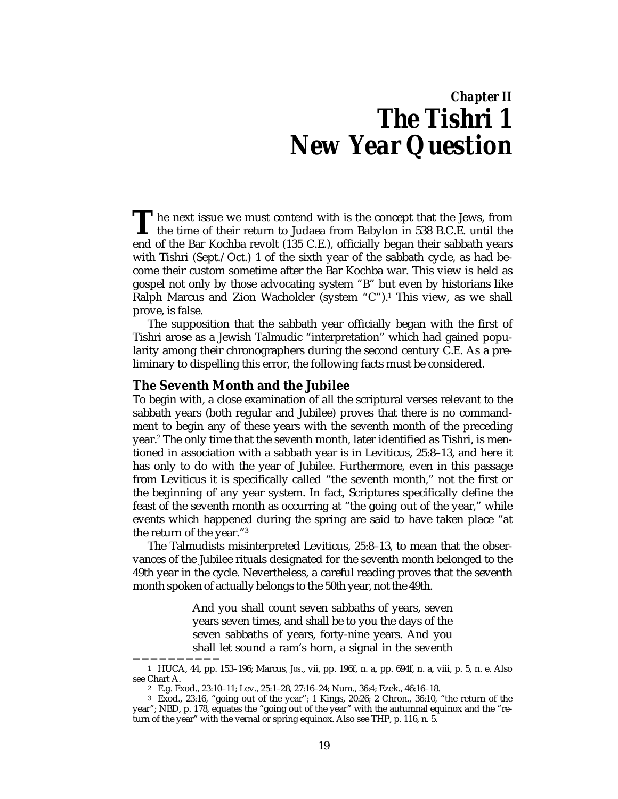# *Chapter II The Tishri 1 New Year Question*

he next issue we must contend with is the concept that the Jews, from The next issue we must contend with is the concept that the Jews, from<br>the time of their return to Judaea from Babylon in 538 B.C.E. until the<br>and of the Bar Koshka revolt (125 G.E.) officially hegan their sekhath vears end of the Bar Kochba revolt (135 C.E.), officially began their sabbath years with Tishri (Sept./Oct.) 1 of the sixth year of the sabbath cycle, as had become their custom sometime after the Bar Kochba war. This view is held as gospel not only by those advocating system "B" but even by historians like Ralph Marcus and Zion Wacholder (system "C").<sup>1</sup> This view, as we shall prove, is false.

The supposition that the sabbath year officially began with the first of Tishri arose as a Jewish Talmudic "interpretation" which had gained popularity among their chronographers during the second century C.E. As a preliminary to dispelling this error, the following facts must be considered.

# **The Seventh Month and the Jubilee**

**——————————**

To begin with, a close examination of all the scriptural verses relevant to the sabbath years (both regular and Jubilee) proves that there is no commandment to begin any of these years with the seventh month of the preceding year.2 The only time that the seventh month, later identified as Tishri, is mentioned in association with a sabbath year is in Leviticus, 25:8–13, and here it has only to do with the year of Jubilee. Furthermore, even in this passage from Leviticus it is specifically called "the seventh month," not the first or the beginning of any year system. In fact, Scriptures specifically define the feast of the seventh month as occurring at "the going out of the year," while events which happened during the spring are said to have taken place "at the return of the year."3

The Talmudists misinterpreted Leviticus, 25:8–13, to mean that the observances of the Jubilee rituals designated for the seventh month belonged to the 49th year in the cycle. Nevertheless, a careful reading proves that the seventh month spoken of actually belongs to the 50th year, not the 49th.

> And you shall count seven sabbaths of years, seven years seven times, and shall be to you the days of the seven sabbaths of years, forty-nine years. And you shall let sound a ram's horn, a signal in the seventh

<sup>1</sup> HUCA, 44, pp. 153–196; Marcus, *Jos*., vii, pp. 196f, n. a, pp. 694f, n. a, viii, p. 5, n. e. Also see Chart A.

<sup>2</sup> E.g. Exod., 23:10–11; Lev., 25:1–28, 27:16–24; Num., 36:4; Ezek., 46:16–18.

<sup>3</sup> Exod., 23:16, "going out of the year"; 1 Kings, 20:26; 2 Chron., 36:10, "the return of the year"; NBD, p. 178, equates the "going out of the year" with the autumnal equinox and the "return of the year" with the vernal or spring equinox. Also see THP, p. 116, n. 5.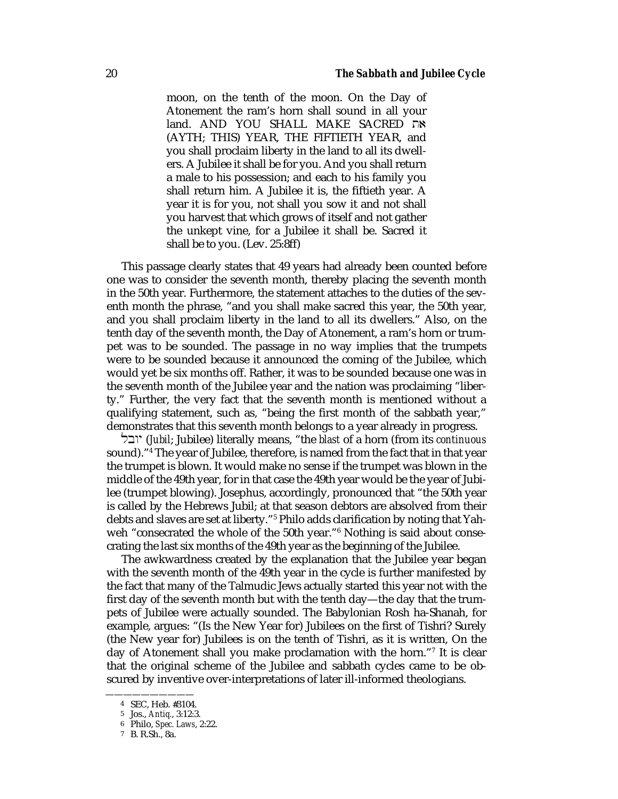moon, on the tenth of the moon. On the Day of Atonement the ram's horn shall sound in all your land. AND YOU SHALL MAKE SACRED את (AYTH; THIS) YEAR, THE FIFTIETH YEAR, and you shall proclaim liberty in the land to all its dwellers. A Jubilee it shall be for you. And you shall return a male to his possession; and each to his family you shall return him. A Jubilee it is, the fiftieth year. A year it is for you, not shall you sow it and not shall you harvest that which grows of itself and not gather the unkept vine, for a Jubilee it shall be. Sacred it shall be to you. (Lev. 25:8ff)

This passage clearly states that 49 years had already been counted before one was to consider the seventh month, thereby placing the seventh month in the 50th year. Furthermore, the statement attaches to the duties of the seventh month the phrase, "and you shall make sacred this year, the 50th year, and you shall proclaim liberty in the land to all its dwellers." Also, on the tenth day of the seventh month, the Day of Atonement, a ram's horn or trumpet was to be sounded. The passage in no way implies that the trumpets were to be sounded because it announced the coming of the Jubilee, which would yet be six months off. Rather, it was to be sounded because one was in the seventh month of the Jubilee year and the nation was proclaiming "liberty." Further, the very fact that the seventh month is mentioned without a qualifying statement, such as, "being the first month of the sabbath year," demonstrates that this seventh month belongs to a year already in progress.

lbwy (*Jubil*; Jubilee) literally means, "the *blast* of a horn (from its *continuous* sound)."4 The year of Jubilee, therefore, is named from the fact that in that year the trumpet is blown. It would make no sense if the trumpet was blown in the middle of the 49th year, for in that case the 49th year would be the year of Jubilee (trumpet blowing). Josephus, accordingly, pronounced that "the 50th year is called by the Hebrews Jubil; at that season debtors are absolved from their debts and slaves are set at liberty."5 Philo adds clarification by noting that Yahweh "consecrated the whole of the 50th year."6 Nothing is said about consecrating the last six months of the 49th year as the beginning of the Jubilee.

The awkwardness created by the explanation that the Jubilee year began with the seventh month of the 49th year in the cycle is further manifested by the fact that many of the Talmudic Jews actually started this year not with the first day of the seventh month but with the tenth day—the day that the trumpets of Jubilee were actually sounded. The Babylonian Rosh ha-Shanah, for example, argues: "(Is the New Year for) Jubilees on the first of Tishri? Surely (the New year for) Jubilees is on the tenth of Tishri, as it is written, On the day of Atonement shall you make proclamation with the horn."7 It is clear that the original scheme of the Jubilee and sabbath cycles came to be obscured by inventive over-interpretations of later ill-informed theologians.

<sup>4</sup> SEC, Heb. #3104.

<sup>5</sup> Jos., *Antiq.*, 3:12:3.

<sup>6</sup> Philo, *Spec. Laws*, 2:22.

<sup>7</sup> B. R.Sh., 8a.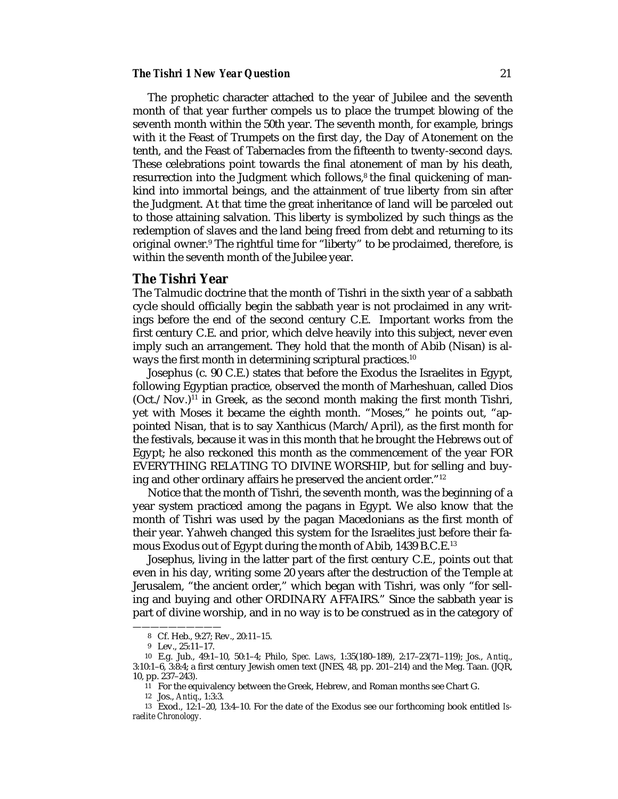#### **The Tishri 1 New Year Question** 21

The prophetic character attached to the year of Jubilee and the seventh month of that year further compels us to place the trumpet blowing of the seventh month within the 50th year. The seventh month, for example, brings with it the Feast of Trumpets on the first day, the Day of Atonement on the tenth, and the Feast of Tabernacles from the fifteenth to twenty-second days. These celebrations point towards the final atonement of man by his death, resurrection into the Judgment which follows,<sup>8</sup> the final quickening of mankind into immortal beings, and the attainment of true liberty from sin after the Judgment. At that time the great inheritance of land will be parceled out to those attaining salvation. This liberty is symbolized by such things as the redemption of slaves and the land being freed from debt and returning to its original owner.<sup>9</sup> The rightful time for "liberty" to be proclaimed, therefore, is within the seventh month of the Jubilee year.

## **The Tishri Year**

The Talmudic doctrine that the month of Tishri in the sixth year of a sabbath cycle should officially begin the sabbath year is not proclaimed in any writings before the end of the second century C.E. Important works from the first century C.E. and prior, which delve heavily into this subject, never even imply such an arrangement. They hold that the month of Abib (Nisan) is always the first month in determining scriptural practices.10

Josephus (c. 90 C.E.) states that before the Exodus the Israelites in Egypt, following Egyptian practice, observed the month of Marheshuan, called Dios  $(Oct./Nov.)<sup>11</sup>$  in Greek, as the second month making the first month Tishri, yet with Moses it became the eighth month. "Moses," he points out, "appointed Nisan, that is to say Xanthicus (March/April), as the first month for the festivals, because it was in this month that he brought the Hebrews out of Egypt; he also reckoned this month as the commencement of the year FOR EVERYTHING RELATING TO DIVINE WORSHIP, but for selling and buying and other ordinary affairs he preserved the ancient order."12

Notice that the month of Tishri, the seventh month, was the beginning of a year system practiced among the pagans in Egypt. We also know that the month of Tishri was used by the pagan Macedonians as the first month of their year. Yahweh changed this system for the Israelites just before their famous Exodus out of Egypt during the month of Abib, 1439 B.C.E.13

Josephus, living in the latter part of the first century C.E., points out that even in his day, writing some 20 years after the destruction of the Temple at Jerusalem, "the ancient order," which began with Tishri, was only "for selling and buying and other ORDINARY AFFAIRS." Since the sabbath year is part of divine worship, and in no way is to be construed as in the category of

<sup>——————————</sup> 8 Cf. Heb., 9:27; Rev., 20:11–15.

<sup>9</sup> Lev., 25:11–17.

<sup>10</sup> E.g. Jub., 49:1–10, 50:1–4; Philo, *Spec. Laws*, 1:35(180–189), 2:17–23(71–119); Jos., *Antiq*., 3:10:1–6, 3:8:4; a first century Jewish omen text (JNES, 48, pp. 201–214) and the Meg. Taan. (JQR, 10, pp. 237–243).

<sup>11</sup> For the equivalency between the Greek, Hebrew, and Roman months see Chart G.

<sup>12</sup> Jos., *Antiq*., 1:3:3.

<sup>13</sup> Exod., 12:1–20, 13:4–10. For the date of the Exodus see our forthcoming book entitled *Israelite Chronology.*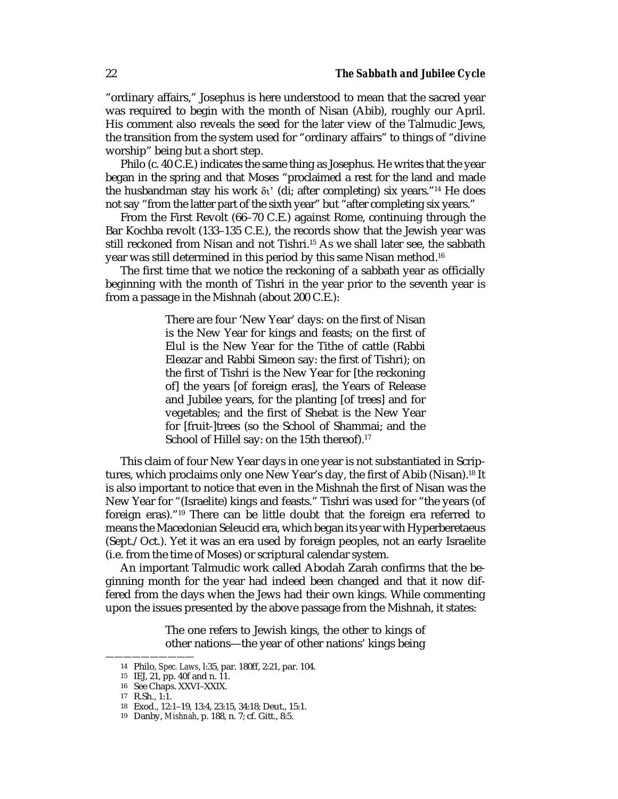"ordinary affairs," Josephus is here understood to mean that the sacred year was required to begin with the month of Nisan (Abib), roughly our April. His comment also reveals the seed for the later view of the Talmudic Jews, the transition from the system used for "ordinary affairs" to things of "divine worship" being but a short step.

Philo (c. 40 C.E.) indicates the same thing as Josephus. He writes that the year began in the spring and that Moses "proclaimed a rest for the land and made the husbandman stay his work  $\delta v'$  (di; after completing) six years."<sup>14</sup> He does not say "from the latter part of the sixth year" but "after completing six years."

From the First Revolt (66–70 C.E.) against Rome, continuing through the Bar Kochba revolt (133–135 C.E.), the records show that the Jewish year was still reckoned from Nisan and not Tishri.<sup>15</sup> As we shall later see, the sabbath year was still determined in this period by this same Nisan method.16

The first time that we notice the reckoning of a sabbath year as officially beginning with the month of Tishri in the year prior to the seventh year is from a passage in the Mishnah (about 200 C.E.):

> There are four 'New Year' days: on the first of Nisan is the New Year for kings and feasts; on the first of Elul is the New Year for the Tithe of cattle (Rabbi Eleazar and Rabbi Simeon say: the first of Tishri); on the first of Tishri is the New Year for [the reckoning of] the years [of foreign eras], the Years of Release and Jubilee years, for the planting [of trees] and for vegetables; and the first of Shebat is the New Year for [fruit-]trees (so the School of Shammai; and the School of Hillel say: on the 15th thereof).<sup>17</sup>

This claim of four New Year days in one year is not substantiated in Scriptures, which proclaims only one New Year's day, the first of Abib (Nisan).18 It is also important to notice that even in the Mishnah the first of Nisan was the New Year for "(Israelite) kings and feasts." Tishri was used for "the years (of foreign eras)."19 There can be little doubt that the foreign era referred to means the Macedonian Seleucid era, which began its year with Hyperberetaeus (Sept./Oct.). Yet it was an era used by foreign peoples, not an early Israelite (i.e. from the time of Moses) or scriptural calendar system.

An important Talmudic work called Abodah Zarah confirms that the beginning month for the year had indeed been changed and that it now differed from the days when the Jews had their own kings. While commenting upon the issues presented by the above passage from the Mishnah, it states:

> The one refers to Jewish kings, the other to kings of other nations—the year of other nations' kings being

<sup>14</sup> Philo, *Spec. Laws*, l:35, par. 180ff, 2:21, par. 104.

<sup>15</sup> IEJ, 21, pp. 40f and n. 11.

<sup>16</sup> See Chaps. XXVI–XXIX.

<sup>17</sup> R.Sh., 1:1.

<sup>18</sup> Exod., 12:1–19, 13:4, 23:15, 34:18; Deut., 15:1.

<sup>19</sup> Danby, *Mishnah*, p. 188, n. 7; cf. Gitt., 8:5.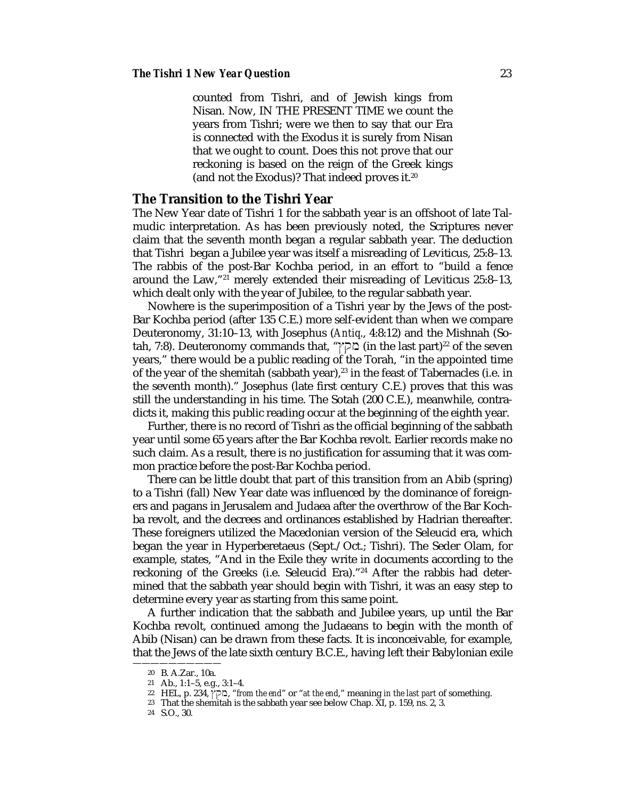counted from Tishri, and of Jewish kings from Nisan. Now, IN THE PRESENT TIME we count the years from Tishri; were we then to say that our Era is connected with the Exodus it is surely from Nisan that we ought to count. Does this not prove that our reckoning is based on the reign of the Greek kings (and not the Exodus)? That indeed proves it.20

# **The Transition to the Tishri Year**

The New Year date of Tishri 1 for the sabbath year is an offshoot of late Talmudic interpretation. As has been previously noted, the Scriptures never claim that the seventh month began a regular sabbath year. The deduction that Tishri began a Jubilee year was itself a misreading of Leviticus, 25:8–13. The rabbis of the post-Bar Kochba period, in an effort to "build a fence around the Law,"21 merely extended their misreading of Leviticus 25:8–13, which dealt only with the year of Jubilee, to the regular sabbath year.

Nowhere is the superimposition of a Tishri year by the Jews of the post-Bar Kochba period (after 135 C.E.) more self-evident than when we compare Deuteronomy, 31:10–13, with Josephus (*Antiq*., 4:8:12) and the Mishnah (Sotah, 7:8). Deuteronomy commands that, "בקץ" (in the last part)<sup>22</sup> of the seven years," there would be a public reading of the Torah, "in the appointed time of the year of the shemitah (sabbath year),<sup>23</sup> in the feast of Tabernacles (i.e. in the seventh month)." Josephus (late first century C.E.) proves that this was still the understanding in his time. The Sotah (200 C.E.), meanwhile, contradicts it, making this public reading occur at the beginning of the eighth year.

Further, there is no record of Tishri as the official beginning of the sabbath year until some 65 years after the Bar Kochba revolt. Earlier records make no such claim. As a result, there is no justification for assuming that it was common practice before the post-Bar Kochba period.

There can be little doubt that part of this transition from an Abib (spring) to a Tishri (fall) New Year date was influenced by the dominance of foreigners and pagans in Jerusalem and Judaea after the overthrow of the Bar Kochba revolt, and the decrees and ordinances established by Hadrian thereafter. These foreigners utilized the Macedonian version of the Seleucid era, which began the year in Hyperberetaeus (Sept./Oct.; Tishri). The Seder Olam, for example, states, "And in the Exile they write in documents according to the reckoning of the Greeks (i.e. Seleucid Era)."24 After the rabbis had determined that the sabbath year should begin with Tishri, it was an easy step to determine every year as starting from this same point.

A further indication that the sabbath and Jubilee years, up until the Bar Kochba revolt, continued among the Judaeans to begin with the month of Abib (Nisan) can be drawn from these facts. It is inconceivable, for example, that the Jews of the late sixth century B.C.E., having left their Babylonian exile

<sup>——————————</sup> 20 B. A.Zar., 10a.

<sup>21</sup> Ab., 1:1–5, e.g., 3:1–4.

<sup>22</sup> HEL, p. 234, ≈qm, "*from the end*" or "*at the end*," meaning *in the last part* of something.

<sup>23</sup> That the shemitah is the sabbath year see below Chap. XI, p. 159, ns. 2, 3.

<sup>24</sup> S.O., 30.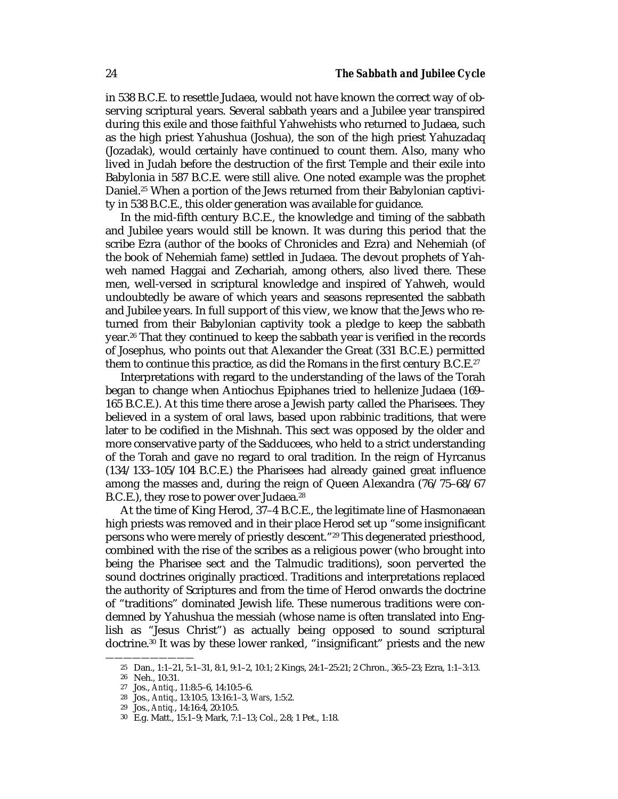in 538 B.C.E. to resettle Judaea, would not have known the correct way of observing scriptural years. Several sabbath years and a Jubilee year transpired during this exile and those faithful Yahwehists who returned to Judaea, such as the high priest Yahushua (Joshua), the son of the high priest Yahuzadaq (Jozadak), would certainly have continued to count them. Also, many who lived in Judah before the destruction of the first Temple and their exile into Babylonia in 587 B.C.E. were still alive. One noted example was the prophet Daniel.25 When a portion of the Jews returned from their Babylonian captivity in 538 B.C.E., this older generation was available for guidance.

In the mid-fifth century B.C.E., the knowledge and timing of the sabbath and Jubilee years would still be known. It was during this period that the scribe Ezra (author of the books of Chronicles and Ezra) and Nehemiah (of the book of Nehemiah fame) settled in Judaea. The devout prophets of Yahweh named Haggai and Zechariah, among others, also lived there. These men, well-versed in scriptural knowledge and inspired of Yahweh, would undoubtedly be aware of which years and seasons represented the sabbath and Jubilee years. In full support of this view, we know that the Jews who returned from their Babylonian captivity took a pledge to keep the sabbath year.26 That they continued to keep the sabbath year is verified in the records of Josephus, who points out that Alexander the Great (331 B.C.E.) permitted them to continue this practice, as did the Romans in the first century B.C.E.<sup>27</sup>

Interpretations with regard to the understanding of the laws of the Torah began to change when Antiochus Epiphanes tried to hellenize Judaea (169– 165 B.C.E.). At this time there arose a Jewish party called the Pharisees. They believed in a system of oral laws, based upon rabbinic traditions, that were later to be codified in the Mishnah. This sect was opposed by the older and more conservative party of the Sadducees, who held to a strict understanding of the Torah and gave no regard to oral tradition. In the reign of Hyrcanus (134/133–105/104 B.C.E.) the Pharisees had already gained great influence among the masses and, during the reign of Queen Alexandra (76/75–68/67 B.C.E.), they rose to power over Judaea.<sup>28</sup>

At the time of King Herod, 37–4 B.C.E., the legitimate line of Hasmonaean high priests was removed and in their place Herod set up "some insignificant persons who were merely of priestly descent."29 This degenerated priesthood, combined with the rise of the scribes as a religious power (who brought into being the Pharisee sect and the Talmudic traditions), soon perverted the sound doctrines originally practiced. Traditions and interpretations replaced the authority of Scriptures and from the time of Herod onwards the doctrine of "traditions" dominated Jewish life. These numerous traditions were condemned by Yahushua the messiah (whose name is often translated into English as "Jesus Christ") as actually being opposed to sound scriptural doctrine.<sup>30</sup> It was by these lower ranked, "insignificant" priests and the new

<sup>25</sup> Dan., 1:1–21, 5:1–31, 8:1, 9:1–2, 10:1; 2 Kings, 24:1–25:21; 2 Chron., 36:5–23; Ezra, 1:1–3:13.

<sup>26</sup> Neh., 10:31.

<sup>27</sup> Jos., *Antiq.*, 11:8:5–6, 14:10:5–6.

<sup>28</sup> Jos., *Antiq*., 13:10:5, 13:16:1–3, *Wars*, 1:5:2.

<sup>29</sup> Jos., *Antiq.*, 14:16:4, 20:10:5.

<sup>30</sup> E.g. Matt., 15:1–9; Mark, 7:1–13; Col., 2:8; 1 Pet., 1:18.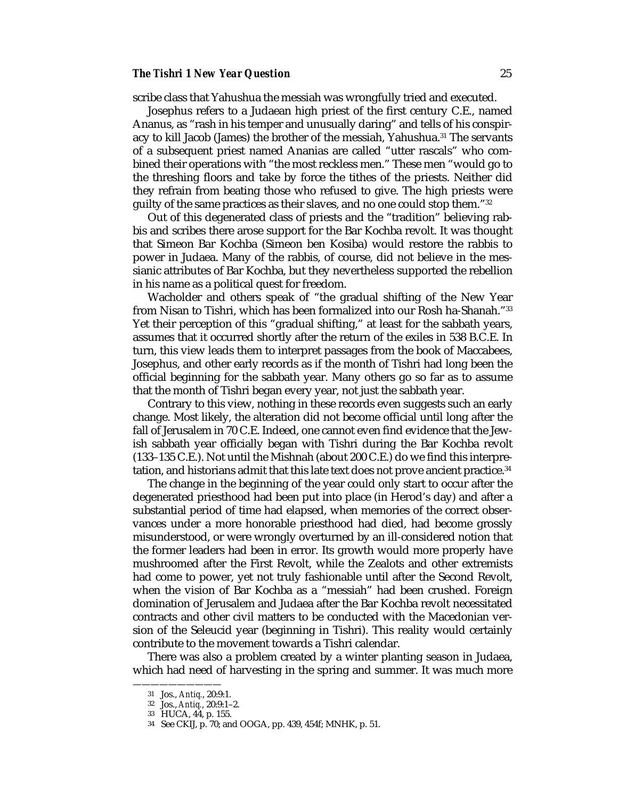### *The Tishri 1 New Year Question* 25

scribe class that Yahushua the messiah was wrongfully tried and executed.

Josephus refers to a Judaean high priest of the first century C.E., named Ananus, as "rash in his temper and unusually daring" and tells of his conspiracy to kill Jacob (James) the brother of the messiah, Yahushua.31 The servants of a subsequent priest named Ananias are called "utter rascals" who combined their operations with "the most reckless men." These men "would go to the threshing floors and take by force the tithes of the priests. Neither did they refrain from beating those who refused to give. The high priests were guilty of the same practices as their slaves, and no one could stop them."32

Out of this degenerated class of priests and the "tradition" believing rabbis and scribes there arose support for the Bar Kochba revolt. It was thought that Simeon Bar Kochba (Simeon ben Kosiba) would restore the rabbis to power in Judaea. Many of the rabbis, of course, did not believe in the messianic attributes of Bar Kochba, but they nevertheless supported the rebellion in his name as a political quest for freedom.

Wacholder and others speak of "the gradual shifting of the New Year from Nisan to Tishri, which has been formalized into our Rosh ha-Shanah."33 Yet their perception of this "gradual shifting," at least for the sabbath years, assumes that it occurred shortly after the return of the exiles in 538 B.C.E. In turn, this view leads them to interpret passages from the book of Maccabees, Josephus, and other early records as if the month of Tishri had long been the official beginning for the sabbath year. Many others go so far as to assume that the month of Tishri began every year, not just the sabbath year.

Contrary to this view, nothing in these records even suggests such an early change. Most likely, the alteration did not become official until long after the fall of Jerusalem in 70 C.E. Indeed, one cannot even find evidence that the Jewish sabbath year officially began with Tishri during the Bar Kochba revolt (133–135 C.E.). Not until the Mishnah (about 200 C.E.) do we find this interpretation, and historians admit that this late text does not prove ancient practice.34

The change in the beginning of the year could only start to occur after the degenerated priesthood had been put into place (in Herod's day) and after a substantial period of time had elapsed, when memories of the correct observances under a more honorable priesthood had died, had become grossly misunderstood, or were wrongly overturned by an ill-considered notion that the former leaders had been in error. Its growth would more properly have mushroomed after the First Revolt, while the Zealots and other extremists had come to power, yet not truly fashionable until after the Second Revolt, when the vision of Bar Kochba as a "messiah" had been crushed. Foreign domination of Jerusalem and Judaea after the Bar Kochba revolt necessitated contracts and other civil matters to be conducted with the Macedonian version of the Seleucid year (beginning in Tishri). This reality would certainly contribute to the movement towards a Tishri calendar.

There was also a problem created by a winter planting season in Judaea, which had need of harvesting in the spring and summer. It was much more

<sup>31</sup> Jos., *Antiq.*, 20:9:1.

<sup>32</sup> Jos., *Antiq.*, 20:9:1–2.

<sup>33</sup> HUCA, 44, p. 155.

<sup>34</sup> See CKIJ, p. 70; and OOGA, pp. 439, 454f; MNHK, p. 51.